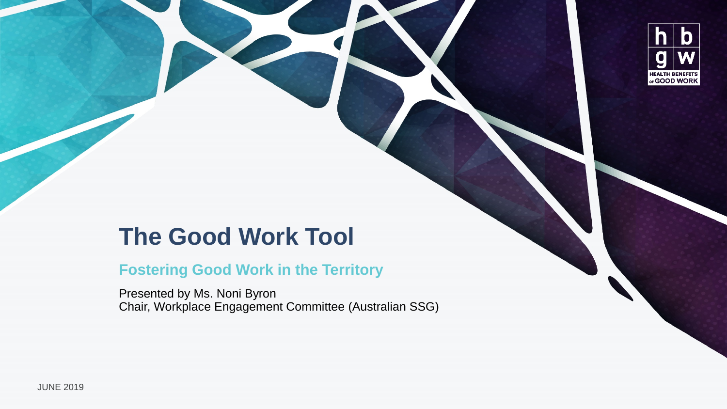

#### **The Good Work Tool**

#### **Fostering Good Work in the Territory**

Presented by Ms. Noni Byron Chair, Workplace Engagement Committee (Australian SSG)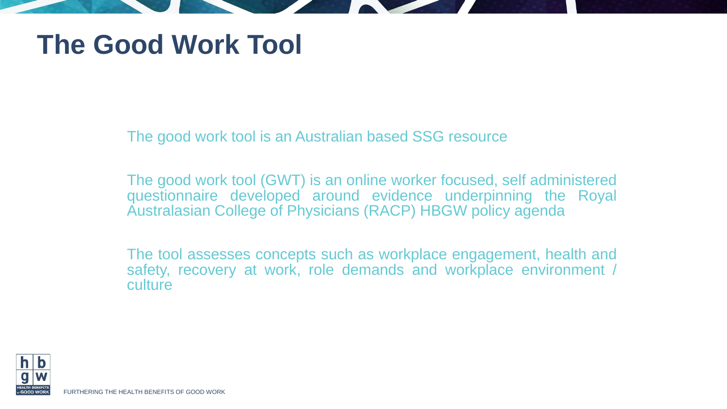## **The Good Work Tool**

The good work tool is an Australian based SSG resource

The good work tool (GWT) is an online worker focused, self administered questionnaire developed around evidence underpinning the Royal Australasian College of Physicians (RACP) HBGW policy agenda

The tool assesses concepts such as workplace engagement, health and safety, recovery at work, role demands and workplace environment / culture



FURTHERING THE HEALTH BENEFITS OF GOOD WORK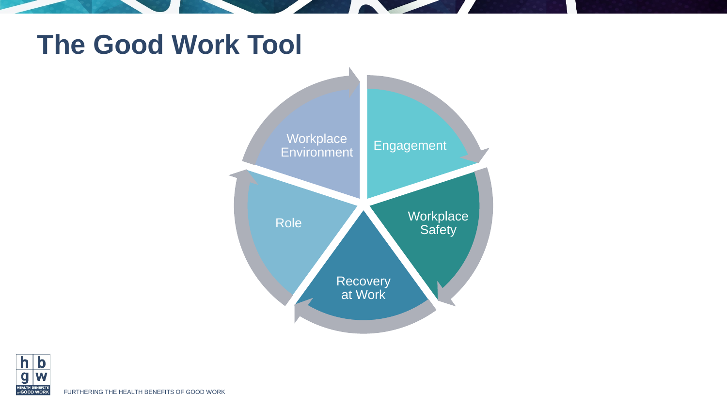#### **The Good Work Tool**





FURTHERING THE HEALTH BENEFITS OF GOOD WORK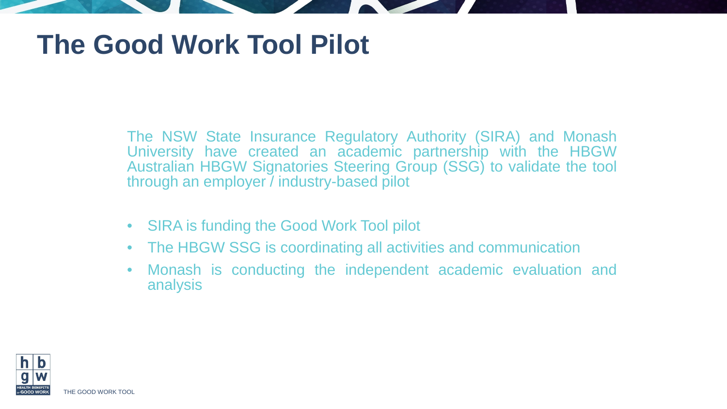## **The Good Work Tool Pilot**

The NSW State Insurance Regulatory Authority (SIRA) and Monash University have created an academic partnership with the HBGW Australian HBGW Signatories Steering Group (SSG) to validate the tool through an employer / industry-based pilot

- SIRA is funding the Good Work Tool pilot
- The HBGW SSG is coordinating all activities and communication
- Monash is conducting the independent academic evaluation and analysis

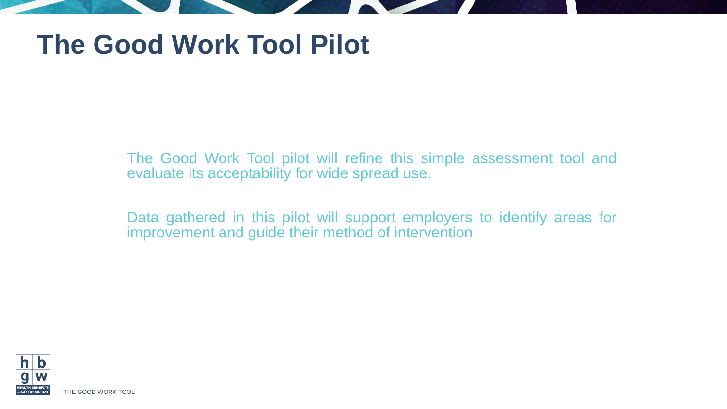#### **The Good Work Tool Pilot**

The Good Work Tool pilot will refine this simple assessment tool and evaluate its acceptability for wide spread use.

Data gathered in this pilot will support employers to identify areas for improvement and guide their method of intervention

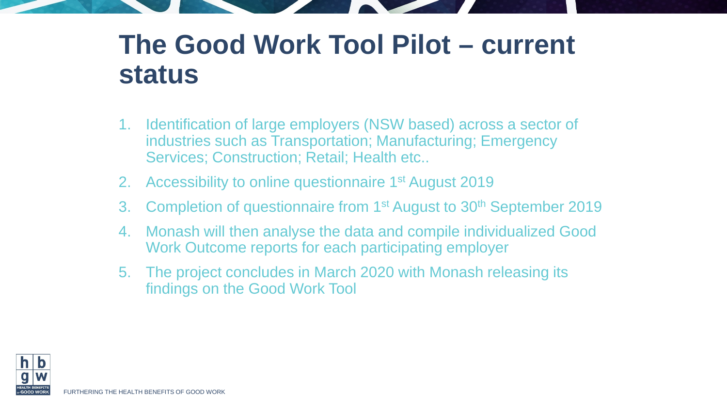#### **The Good Work Tool Pilot – current status**

- 1. Identification of large employers (NSW based) across a sector of industries such as Transportation; Manufacturing; Emergency Services; Construction; Retail; Health etc..
- 2. Accessibility to online questionnaire 1<sup>st</sup> August 2019
- 3. Completion of questionnaire from 1<sup>st</sup> August to 30<sup>th</sup> September 2019
- 4. Monash will then analyse the data and compile individualized Good Work Outcome reports for each participating employer
- 5. The project concludes in March 2020 with Monash releasing its findings on the Good Work Tool